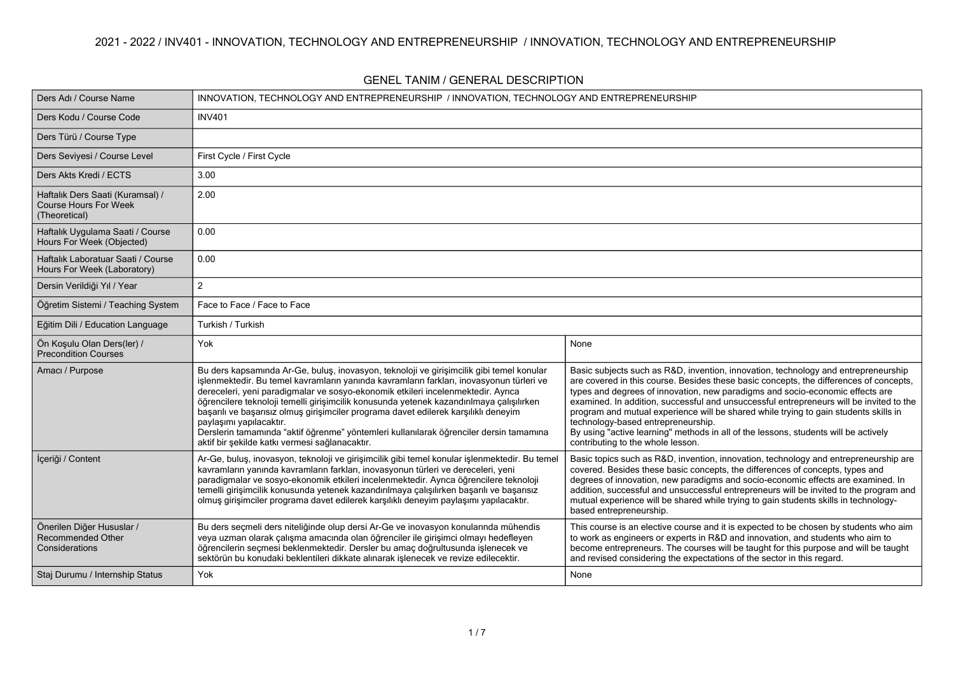| Ders Adı / Course Name                                                            |                                                                                                                                                                                                                                                                                                                                                                                                                                                                                                                                                                                                                                    | INNOVATION, TECHNOLOGY AND ENTREPRENEURSHIP / INNOVATION, TECHNOLOGY AND ENTREPRENEURSHIP                                                                                                                                                                                                                                                                                                                                                                                                                                                                                                                          |  |  |  |  |  |
|-----------------------------------------------------------------------------------|------------------------------------------------------------------------------------------------------------------------------------------------------------------------------------------------------------------------------------------------------------------------------------------------------------------------------------------------------------------------------------------------------------------------------------------------------------------------------------------------------------------------------------------------------------------------------------------------------------------------------------|--------------------------------------------------------------------------------------------------------------------------------------------------------------------------------------------------------------------------------------------------------------------------------------------------------------------------------------------------------------------------------------------------------------------------------------------------------------------------------------------------------------------------------------------------------------------------------------------------------------------|--|--|--|--|--|
| Ders Kodu / Course Code                                                           | <b>INV401</b>                                                                                                                                                                                                                                                                                                                                                                                                                                                                                                                                                                                                                      |                                                                                                                                                                                                                                                                                                                                                                                                                                                                                                                                                                                                                    |  |  |  |  |  |
| Ders Türü / Course Type                                                           |                                                                                                                                                                                                                                                                                                                                                                                                                                                                                                                                                                                                                                    |                                                                                                                                                                                                                                                                                                                                                                                                                                                                                                                                                                                                                    |  |  |  |  |  |
| Ders Seviyesi / Course Level                                                      | First Cycle / First Cycle                                                                                                                                                                                                                                                                                                                                                                                                                                                                                                                                                                                                          |                                                                                                                                                                                                                                                                                                                                                                                                                                                                                                                                                                                                                    |  |  |  |  |  |
| Ders Akts Kredi / ECTS                                                            | 3.00                                                                                                                                                                                                                                                                                                                                                                                                                                                                                                                                                                                                                               |                                                                                                                                                                                                                                                                                                                                                                                                                                                                                                                                                                                                                    |  |  |  |  |  |
| Haftalık Ders Saati (Kuramsal) /<br><b>Course Hours For Week</b><br>(Theoretical) | 2.00                                                                                                                                                                                                                                                                                                                                                                                                                                                                                                                                                                                                                               |                                                                                                                                                                                                                                                                                                                                                                                                                                                                                                                                                                                                                    |  |  |  |  |  |
| Haftalık Uygulama Saati / Course<br>Hours For Week (Objected)                     | 0.00                                                                                                                                                                                                                                                                                                                                                                                                                                                                                                                                                                                                                               |                                                                                                                                                                                                                                                                                                                                                                                                                                                                                                                                                                                                                    |  |  |  |  |  |
| Haftalık Laboratuar Saati / Course<br>Hours For Week (Laboratory)                 | 0.00                                                                                                                                                                                                                                                                                                                                                                                                                                                                                                                                                                                                                               |                                                                                                                                                                                                                                                                                                                                                                                                                                                                                                                                                                                                                    |  |  |  |  |  |
| Dersin Verildiği Yıl / Year                                                       | $\overline{c}$                                                                                                                                                                                                                                                                                                                                                                                                                                                                                                                                                                                                                     |                                                                                                                                                                                                                                                                                                                                                                                                                                                                                                                                                                                                                    |  |  |  |  |  |
| Öğretim Sistemi / Teaching System                                                 | Face to Face / Face to Face                                                                                                                                                                                                                                                                                                                                                                                                                                                                                                                                                                                                        |                                                                                                                                                                                                                                                                                                                                                                                                                                                                                                                                                                                                                    |  |  |  |  |  |
| Eğitim Dili / Education Language                                                  | Turkish / Turkish                                                                                                                                                                                                                                                                                                                                                                                                                                                                                                                                                                                                                  |                                                                                                                                                                                                                                                                                                                                                                                                                                                                                                                                                                                                                    |  |  |  |  |  |
| Ön Koşulu Olan Ders(ler) /<br>Precondition Courses                                | Yok                                                                                                                                                                                                                                                                                                                                                                                                                                                                                                                                                                                                                                | None                                                                                                                                                                                                                                                                                                                                                                                                                                                                                                                                                                                                               |  |  |  |  |  |
| Amacı / Purpose                                                                   | Bu ders kapsamında Ar-Ge, buluş, inovasyon, teknoloji ve girişimcilik gibi temel konular<br>işlenmektedir. Bu temel kavramların yanında kavramların farkları, inovasyonun türleri ve<br>dereceleri, yeni paradigmalar ve sosyo-ekonomik etkileri incelenmektedir. Ayrıca<br>öğrencilere teknoloji temelli girişimcilik konusunda yetenek kazandırılmaya çalışılırken<br>başarılı ve başarısız olmuş girişimciler programa davet edilerek karşılıklı deneyim<br>paylaşımı yapılacaktır.<br>Derslerin tamamında "aktif öğrenme" yöntemleri kullanılarak öğrenciler dersin tamamına<br>aktif bir şekilde katkı vermesi sağlanacaktır. | Basic subjects such as R&D, invention, innovation, technology and entrepreneurship<br>are covered in this course. Besides these basic concepts, the differences of concepts,<br>types and degrees of innovation, new paradigms and socio-economic effects are<br>examined. In addition, successful and unsuccessful entrepreneurs will be invited to the<br>program and mutual experience will be shared while trying to gain students skills in<br>technology-based entrepreneurship.<br>By using "active learning" methods in all of the lessons, students will be actively<br>contributing to the whole lesson. |  |  |  |  |  |
| İçeriği / Content                                                                 | Ar-Ge, buluş, inovasyon, teknoloji ve girişimcilik gibi temel konular işlenmektedir. Bu temel<br>kavramların yanında kavramların farkları, inovasyonun türleri ve dereceleri, yeni<br>paradigmalar ve sosyo-ekonomik etkileri incelenmektedir. Ayrıca öğrencilere teknoloji<br>temelli girişimcilik konusunda yetenek kazandırılmaya çalışılırken başarılı ve başarısız<br>olmuş girişimciler programa davet edilerek karşılıklı deneyim paylaşımı yapılacaktır.                                                                                                                                                                   | Basic topics such as R&D, invention, innovation, technology and entrepreneurship are<br>covered. Besides these basic concepts, the differences of concepts, types and<br>degrees of innovation, new paradigms and socio-economic effects are examined. In<br>addition, successful and unsuccessful entrepreneurs will be invited to the program and<br>mutual experience will be shared while trying to gain students skills in technology-<br>based entrepreneurship.                                                                                                                                             |  |  |  |  |  |
| Önerilen Diğer Hususlar /<br>Recommended Other<br>Considerations                  | Bu ders seçmeli ders niteliğinde olup dersi Ar-Ge ve inovasyon konularında mühendis<br>veya uzman olarak çalışma amacında olan öğrenciler ile girişimci olmayı hedefleyen<br>öğrencilerin seçmesi beklenmektedir. Dersler bu amaç doğrultusunda işlenecek ve<br>sektörün bu konudaki beklentileri dikkate alınarak işlenecek ve revize edilecektir.                                                                                                                                                                                                                                                                                | This course is an elective course and it is expected to be chosen by students who aim<br>to work as engineers or experts in R&D and innovation, and students who aim to<br>become entrepreneurs. The courses will be taught for this purpose and will be taught<br>and revised considering the expectations of the sector in this regard.                                                                                                                                                                                                                                                                          |  |  |  |  |  |
| Staj Durumu / Internship Status                                                   | Yok                                                                                                                                                                                                                                                                                                                                                                                                                                                                                                                                                                                                                                | None                                                                                                                                                                                                                                                                                                                                                                                                                                                                                                                                                                                                               |  |  |  |  |  |

#### **GENEL TANIM / GENERAL DESCRIPTION**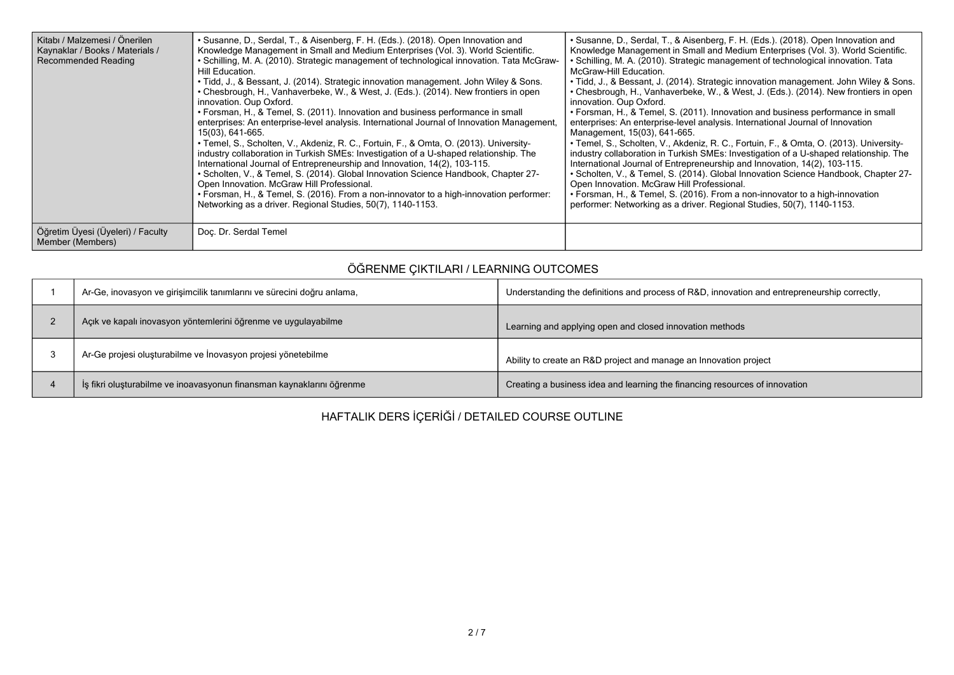| Kitabı / Malzemesi / Önerilen<br>Kaynaklar / Books / Materials /<br><b>Recommended Reading</b> | • Susanne, D., Serdal, T., & Aisenberg, F. H. (Eds.). (2018). Open Innovation and<br>Knowledge Management in Small and Medium Enterprises (Vol. 3). World Scientific.<br>• Schilling, M. A. (2010). Strategic management of technological innovation. Tata McGraw-<br>Hill Education.<br>. Tidd, J., & Bessant, J. (2014). Strategic innovation management. John Wiley & Sons.<br>• Chesbrough, H., Vanhaverbeke, W., & West, J. (Eds.). (2014). New frontiers in open<br>innovation. Oup Oxford.<br>• Forsman, H., & Temel, S. (2011). Innovation and business performance in small<br>enterprises: An enterprise-level analysis. International Journal of Innovation Management,<br>15(03), 641-665.<br>• Temel, S., Scholten, V., Akdeniz, R. C., Fortuin, F., & Omta, O. (2013). University-<br>industry collaboration in Turkish SMEs: Investigation of a U-shaped relationship. The<br>International Journal of Entrepreneurship and Innovation, 14(2), 103-115.<br>• Scholten, V., & Temel, S. (2014). Global Innovation Science Handbook, Chapter 27-<br>Open Innovation. McGraw Hill Professional.<br>• Forsman, H., & Temel, S. (2016). From a non-innovator to a high-innovation performer:<br>Networking as a driver. Regional Studies, 50(7), 1140-1153. | • Susanne, D., Serdal, T., & Aisenberg, F. H. (Eds.). (2018). Open Innovation and<br>Knowledge Management in Small and Medium Enterprises (Vol. 3). World Scientific.<br>• Schilling, M. A. (2010). Strategic management of technological innovation. Tata<br>McGraw-Hill Education.<br>. Tidd, J., & Bessant, J. (2014). Strategic innovation management. John Wiley & Sons.<br>• Chesbrough, H., Vanhaverbeke, W., & West, J. (Eds.). (2014). New frontiers in open<br>innovation. Oup Oxford.<br>• Forsman, H., & Temel, S. (2011). Innovation and business performance in small<br>enterprises: An enterprise-level analysis. International Journal of Innovation<br>Management, 15(03), 641-665.<br>• Temel, S., Scholten, V., Akdeniz, R. C., Fortuin, F., & Omta, O. (2013). University-<br>industry collaboration in Turkish SMEs: Investigation of a U-shaped relationship. The<br>International Journal of Entrepreneurship and Innovation, 14(2), 103-115.<br>• Scholten, V., & Temel, S. (2014). Global Innovation Science Handbook, Chapter 27-<br>Open Innovation. McGraw Hill Professional.<br>• Forsman, H., & Temel, S. (2016). From a non-innovator to a high-innovation<br>performer: Networking as a driver. Regional Studies, 50(7), 1140-1153. |
|------------------------------------------------------------------------------------------------|-----------------------------------------------------------------------------------------------------------------------------------------------------------------------------------------------------------------------------------------------------------------------------------------------------------------------------------------------------------------------------------------------------------------------------------------------------------------------------------------------------------------------------------------------------------------------------------------------------------------------------------------------------------------------------------------------------------------------------------------------------------------------------------------------------------------------------------------------------------------------------------------------------------------------------------------------------------------------------------------------------------------------------------------------------------------------------------------------------------------------------------------------------------------------------------------------------------------------------------------------------------------------|----------------------------------------------------------------------------------------------------------------------------------------------------------------------------------------------------------------------------------------------------------------------------------------------------------------------------------------------------------------------------------------------------------------------------------------------------------------------------------------------------------------------------------------------------------------------------------------------------------------------------------------------------------------------------------------------------------------------------------------------------------------------------------------------------------------------------------------------------------------------------------------------------------------------------------------------------------------------------------------------------------------------------------------------------------------------------------------------------------------------------------------------------------------------------------------------------------------------------------------------------------------------|
| Öğretim Üyesi (Üyeleri) / Faculty<br>Member (Members)                                          | Doc. Dr. Serdal Temel                                                                                                                                                                                                                                                                                                                                                                                                                                                                                                                                                                                                                                                                                                                                                                                                                                                                                                                                                                                                                                                                                                                                                                                                                                                 |                                                                                                                                                                                                                                                                                                                                                                                                                                                                                                                                                                                                                                                                                                                                                                                                                                                                                                                                                                                                                                                                                                                                                                                                                                                                      |

### **ÖĞRENME ÇIKTILARI / LEARNING OUTCOMES**

| Ar-Ge, inovasyon ve girişimcilik tanımlarını ve sürecini doğru anlama, | Understanding the definitions and process of R&D, innovation and entrepreneurship correctly, |
|------------------------------------------------------------------------|----------------------------------------------------------------------------------------------|
| Açık ve kapalı inovasyon yöntemlerini öğrenme ve uygulayabilme         | Learning and applying open and closed innovation methods                                     |
| Ar-Ge projesi oluşturabilme ve İnovasyon projesi yönetebilme           | Ability to create an R&D project and manage an Innovation project                            |
| İş fikri oluşturabilme ve inoavasyonun finansman kaynaklarını öğrenme  | Creating a business idea and learning the financing resources of innovation                  |

# **HAFTALIK DERS İÇERİĞİ / DETAILED COURSE OUTLINE**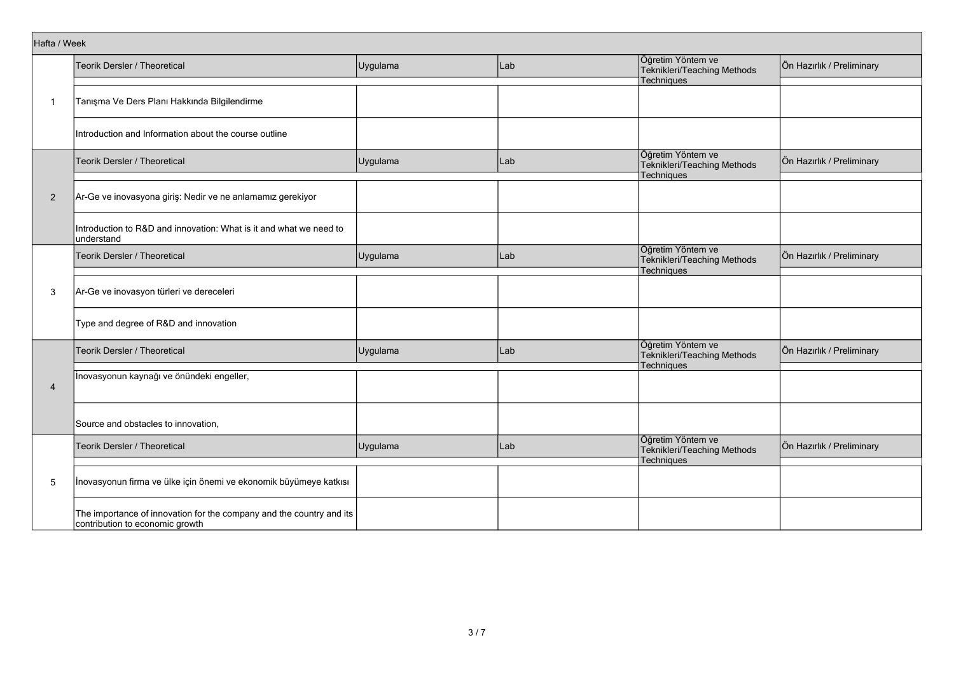|                | Hafta / Week                                                                                            |          |     |                                                                |                           |  |  |  |  |  |
|----------------|---------------------------------------------------------------------------------------------------------|----------|-----|----------------------------------------------------------------|---------------------------|--|--|--|--|--|
|                | Teorik Dersler / Theoretical                                                                            | Uygulama | Lab | Öğretim Yöntem ve<br>Teknikleri/Teaching Methods               | Ön Hazırlık / Preliminary |  |  |  |  |  |
|                |                                                                                                         |          |     | Techniques                                                     |                           |  |  |  |  |  |
| $\mathbf{1}$   | Tanışma Ve Ders Planı Hakkında Bilgilendirme                                                            |          |     |                                                                |                           |  |  |  |  |  |
|                | Introduction and Information about the course outline                                                   |          |     |                                                                |                           |  |  |  |  |  |
|                | Teorik Dersler / Theoretical                                                                            | Uygulama | Lab | Öğretim Yöntem ve<br>Teknikleri/Teaching Methods<br>Techniques | Ön Hazırlık / Preliminary |  |  |  |  |  |
|                |                                                                                                         |          |     |                                                                |                           |  |  |  |  |  |
| 2              | Ar-Ge ve inovasyona giriş: Nedir ve ne anlamamız gerekiyor                                              |          |     |                                                                |                           |  |  |  |  |  |
|                | Introduction to R&D and innovation: What is it and what we need to<br>lunderstand                       |          |     |                                                                |                           |  |  |  |  |  |
|                | Teorik Dersler / Theoretical                                                                            | Uygulama | Lab | Öğretim Yöntem ve<br>Teknikleri/Teaching Methods<br>Techniques | Ön Hazırlık / Preliminary |  |  |  |  |  |
|                |                                                                                                         |          |     |                                                                |                           |  |  |  |  |  |
| 3              | Ar-Ge ve inovasyon türleri ve dereceleri                                                                |          |     |                                                                |                           |  |  |  |  |  |
|                | Type and degree of R&D and innovation                                                                   |          |     |                                                                |                           |  |  |  |  |  |
|                | Teorik Dersler / Theoretical                                                                            | Uygulama | Lab | Öğretim Yöntem ve<br>Teknikleri/Teaching Methods               | Ön Hazırlık / Preliminary |  |  |  |  |  |
|                | İnovasyonun kaynağı ve önündeki engeller,                                                               |          |     | Techniques                                                     |                           |  |  |  |  |  |
| $\overline{4}$ |                                                                                                         |          |     |                                                                |                           |  |  |  |  |  |
|                | Source and obstacles to innovation,                                                                     |          |     |                                                                |                           |  |  |  |  |  |
|                |                                                                                                         |          |     | Öğretim Yöntem ve                                              |                           |  |  |  |  |  |
|                | Teorik Dersler / Theoretical                                                                            | Uygulama | Lab | Teknikleri/Teaching Methods<br>Techniques                      | Ön Hazırlık / Preliminary |  |  |  |  |  |
|                |                                                                                                         |          |     |                                                                |                           |  |  |  |  |  |
| 5              | Inovasyonun firma ve ülke için önemi ve ekonomik büyümeye katkısı                                       |          |     |                                                                |                           |  |  |  |  |  |
|                | The importance of innovation for the company and the country and its<br>contribution to economic growth |          |     |                                                                |                           |  |  |  |  |  |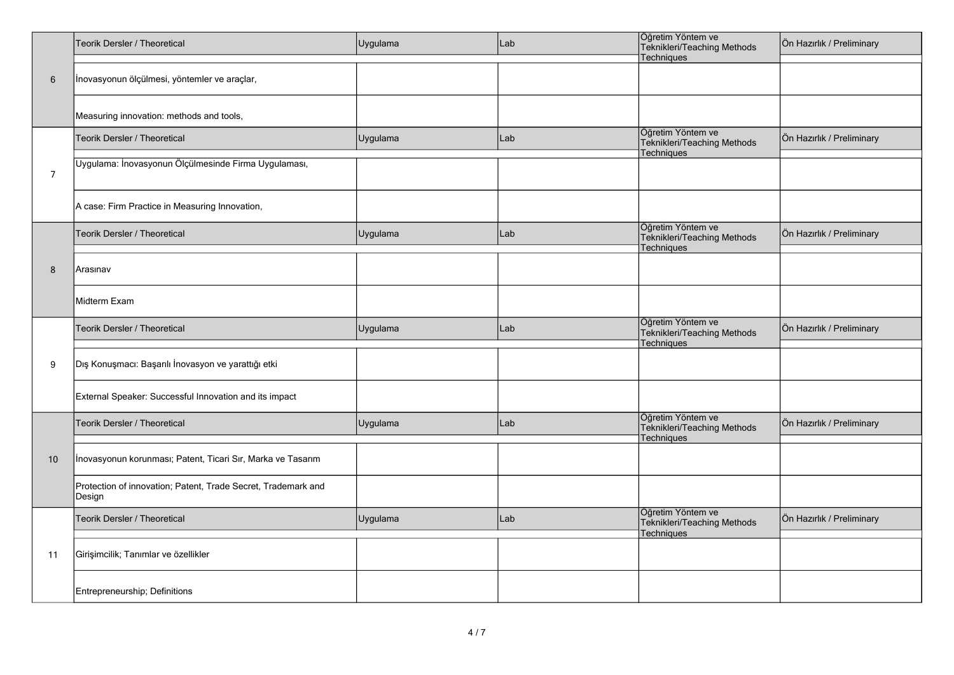|                | Teorik Dersler / Theoretical                                            | Uygulama | Lab | Öğretim Yöntem ve<br>Teknikleri/Teaching Methods<br>Techniques        | Ön Hazırlık / Preliminary |
|----------------|-------------------------------------------------------------------------|----------|-----|-----------------------------------------------------------------------|---------------------------|
| 6              | İnovasyonun ölçülmesi, yöntemler ve araçlar,                            |          |     |                                                                       |                           |
|                | Measuring innovation: methods and tools,                                |          |     |                                                                       |                           |
|                | Teorik Dersler / Theoretical                                            | Uygulama | Lab | Öğretim Yöntem ve<br>Teknikleri/Teaching Methods<br><b>Techniques</b> | Ön Hazırlık / Preliminary |
| $\overline{7}$ | Uygulama: İnovasyonun Ölçülmesinde Firma Uygulaması,                    |          |     |                                                                       |                           |
|                | A case: Firm Practice in Measuring Innovation,                          |          |     |                                                                       |                           |
|                | <b>Teorik Dersler / Theoretical</b>                                     | Uygulama | Lab | Öğretim Yöntem ve<br>Teknikleri/Teaching Methods<br><b>Techniques</b> | Ön Hazırlık / Preliminary |
| 8              | Arasınav                                                                |          |     |                                                                       |                           |
|                | Midterm Exam                                                            |          |     |                                                                       |                           |
|                | Teorik Dersler / Theoretical                                            | Uygulama | Lab | Öğretim Yöntem ve<br>Teknikleri/Teaching Methods<br><b>Techniques</b> | Ön Hazırlık / Preliminary |
| 9              | Dış Konuşmacı: Başarılı İnovasyon ve yarattığı etki                     |          |     |                                                                       |                           |
|                | External Speaker: Successful Innovation and its impact                  |          |     |                                                                       |                           |
|                | Teorik Dersler / Theoretical                                            | Uygulama | Lab | Öğretim Yöntem ve<br>Teknikleri/Teaching Methods<br><b>Techniques</b> | Ön Hazırlık / Preliminary |
| 10             | Inovasyonun korunması; Patent, Ticari Sır, Marka ve Tasarım             |          |     |                                                                       |                           |
|                | Protection of innovation; Patent, Trade Secret, Trademark and<br>Design |          |     |                                                                       |                           |
|                | Teorik Dersler / Theoretical                                            | Uygulama | Lab | Öğretim Yöntem ve<br>Teknikleri/Teaching Methods<br>Techniques        | Ön Hazırlık / Preliminary |
| 11             | Girişimcilik; Tanımlar ve özellikler                                    |          |     |                                                                       |                           |
|                | Entrepreneurship; Definitions                                           |          |     |                                                                       |                           |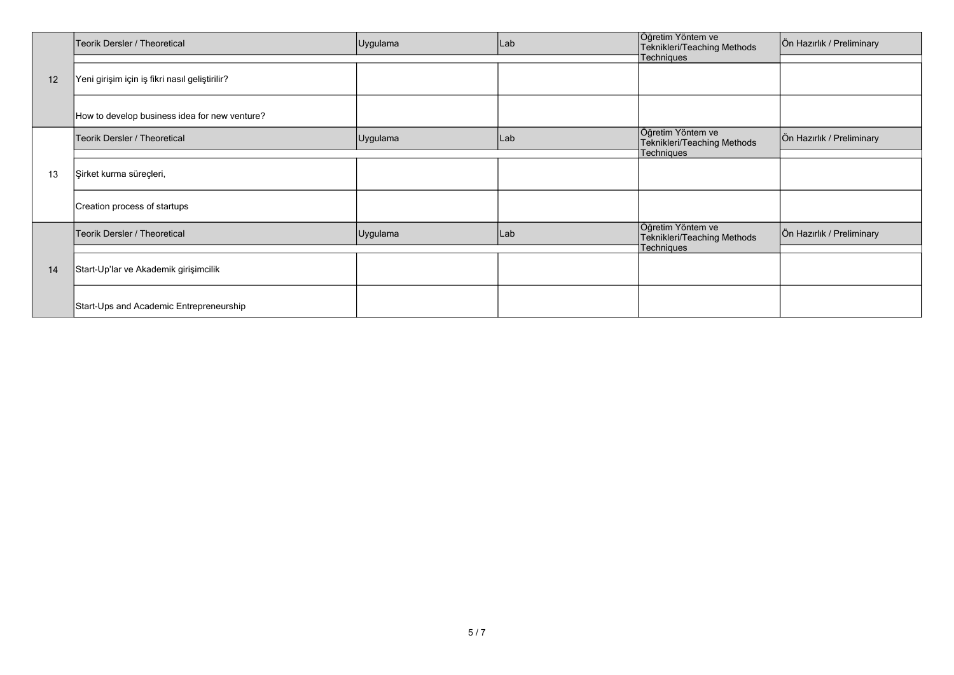|    | Teorik Dersler / Theoretical                   | Uygulama | Lab | Öğretim Yöntem ve<br>Teknikleri/Teaching Methods | Ön Hazırlık / Preliminary |
|----|------------------------------------------------|----------|-----|--------------------------------------------------|---------------------------|
|    |                                                |          |     | <b>Techniques</b>                                |                           |
| 12 | Yeni girişim için iş fikri nasıl geliştirilir? |          |     |                                                  |                           |
|    | How to develop business idea for new venture?  |          |     |                                                  |                           |
|    | Teorik Dersler / Theoretical                   | Uygulama | Lab | Öğretim Yöntem ve<br>Teknikleri/Teaching Methods | Ön Hazırlık / Preliminary |
| 13 |                                                |          |     | Techniques                                       |                           |
|    | Şirket kurma süreçleri,                        |          |     |                                                  |                           |
|    | Creation process of startups                   |          |     |                                                  |                           |
|    | Teorik Dersler / Theoretical                   | Uygulama | Lab | Öğretim Yöntem ve<br>Teknikleri/Teaching Methods | Ön Hazırlık / Preliminary |
|    |                                                |          |     | Techniques                                       |                           |
| 14 | Start-Up'lar ve Akademik girişimcilik          |          |     |                                                  |                           |
|    | Start-Ups and Academic Entrepreneurship        |          |     |                                                  |                           |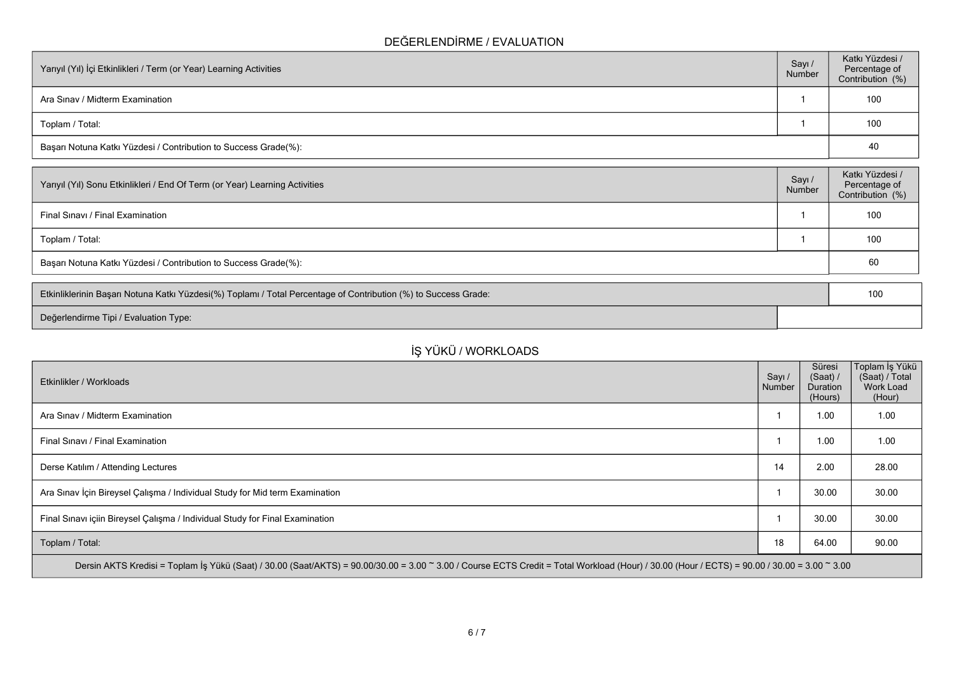#### **DEĞERLENDİRME / EVALUATION**

| Yarıyıl (Yıl) İçi Etkinlikleri / Term (or Year) Learning Activities | Sayı /<br>Number | Katkı Yüzdesi /<br>Percentage of<br>Contribution (%) |
|---------------------------------------------------------------------|------------------|------------------------------------------------------|
| Ara Sinav / Midterm Examination                                     |                  | 100                                                  |
| Toplam / Total:                                                     |                  | 100                                                  |
| Başarı Notuna Katkı Yüzdesi / Contribution to Success Grade(%):     |                  | 40                                                   |

| Sayı/<br>Number | Katkı Yüzdesi /<br>Percentage of<br>Contribution (%) |
|-----------------|------------------------------------------------------|
|                 | 100                                                  |
|                 | 100                                                  |
|                 | 60                                                   |
|                 |                                                      |

| Etkinliklerinin Başarı Notuna Katkı Yüzdesi(%) Toplamı / Total Percentage of Contribution (%) to Success Grade: |  | 10 |
|-----------------------------------------------------------------------------------------------------------------|--|----|
| Değerlendirme Tipi / Evaluation Type:                                                                           |  |    |

# **İŞ YÜKÜ / WORKLOADS**

| Etkinlikler / Workloads                                                                                                                                                                      | Sayı /<br>Number | Süresi<br>(Saat) /<br>Duration<br>(Hours) | Toplam İş Yükü<br>(Saat) / Total<br>Work Load<br>(Hour) |  |  |
|----------------------------------------------------------------------------------------------------------------------------------------------------------------------------------------------|------------------|-------------------------------------------|---------------------------------------------------------|--|--|
| Ara Sinav / Midterm Examination                                                                                                                                                              |                  | 1.00                                      | 1.00                                                    |  |  |
| Final Sinavi / Final Examination                                                                                                                                                             |                  | 1.00                                      | 1.00                                                    |  |  |
| Derse Katılım / Attending Lectures                                                                                                                                                           | 14               | 2.00                                      | 28.00                                                   |  |  |
| Ara Sınav İçin Bireysel Çalışma / Individual Study for Mid term Examination                                                                                                                  |                  | 30.00                                     | 30.00                                                   |  |  |
| Final Sinavi içiin Bireysel Çalışma / Individual Study for Final Examination                                                                                                                 |                  | 30.00                                     | 30.00                                                   |  |  |
| Toplam / Total:                                                                                                                                                                              | 18               | 64.00                                     | 90.00                                                   |  |  |
| Dersin AKTS Kredisi = Toplam İş Yükü (Saat) / 30.00 (Saat/AKTS) = 90.00/30.00 = 3.00 ~ 3.00 / Course ECTS Credit = Total Workload (Hour) / 30.00 (Hour / ECTS) = 90.00 / 30.00 = 3.00 ~ 3.00 |                  |                                           |                                                         |  |  |